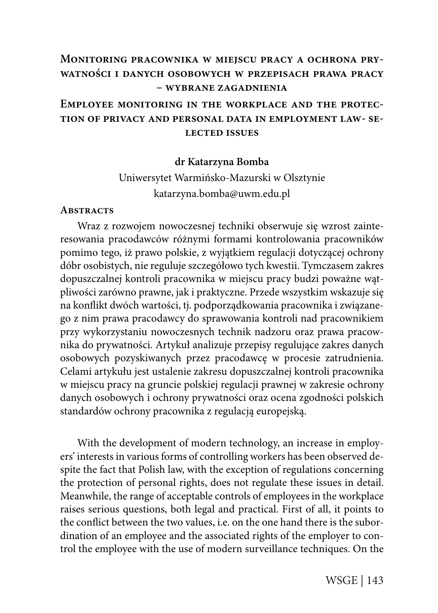# **Monitoring pracownika w miejscu pracy a ochrona prywatności i danych osobowych w przepisach prawa pracy – wybrane zagadnienia**

# **Employee monitoring in the workplace and the protection of privacy and personal data in employment law- selected issues**

## **dr Katarzyna Bomba**

Uniwersytet Warmińsko-Mazurski w Olsztynie katarzyna.bomba@uwm.edu.pl

## **Abstracts**

Wraz z rozwojem nowoczesnej techniki obserwuje się wzrost zainteresowania pracodawców różnymi formami kontrolowania pracowników pomimo tego, iż prawo polskie, z wyjątkiem regulacji dotyczącej ochrony dóbr osobistych, nie reguluje szczegółowo tych kwestii. Tymczasem zakres dopuszczalnej kontroli pracownika w miejscu pracy budzi poważne wątpliwości zarówno prawne, jak i praktyczne. Przede wszystkim wskazuje się na konflikt dwóch wartości, tj. podporządkowania pracownika i związanego z nim prawa pracodawcy do sprawowania kontroli nad pracownikiem przy wykorzystaniu nowoczesnych technik nadzoru oraz prawa pracownika do prywatności. Artykuł analizuje przepisy regulujące zakres danych osobowych pozyskiwanych przez pracodawcę w procesie zatrudnienia. Celami artykułu jest ustalenie zakresu dopuszczalnej kontroli pracownika w miejscu pracy na gruncie polskiej regulacji prawnej w zakresie ochrony danych osobowych i ochrony prywatności oraz ocena zgodności polskich standardów ochrony pracownika z regulacją europejską.

With the development of modern technology, an increase in employers' interests in various forms of controlling workers has been observed despite the fact that Polish law, with the exception of regulations concerning the protection of personal rights, does not regulate these issues in detail. Meanwhile, the range of acceptable controls of employees in the workplace raises serious questions, both legal and practical. First of all, it points to the conflict between the two values, i.e. on the one hand there is the subordination of an employee and the associated rights of the employer to control the employee with the use of modern surveillance techniques. On the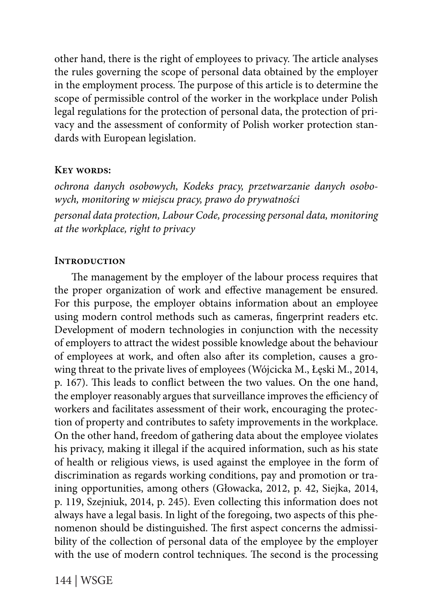other hand, there is the right of employees to privacy. The article analyses the rules governing the scope of personal data obtained by the employer in the employment process. The purpose of this article is to determine the scope of permissible control of the worker in the workplace under Polish legal regulations for the protection of personal data, the protection of privacy and the assessment of conformity of Polish worker protection standards with European legislation.

### **Key words:**

*ochrona danych osobowych, Kodeks pracy, przetwarzanie danych osobowych, monitoring w miejscu pracy, prawo do prywatności personal data protection, Labour Code, processing personal data, monitoring at the workplace, right to privacy*

### **INTRODUCTION**

The management by the employer of the labour process requires that the proper organization of work and effective management be ensured. For this purpose, the employer obtains information about an employee using modern control methods such as cameras, fingerprint readers etc. Development of modern technologies in conjunction with the necessity of employers to attract the widest possible knowledge about the behaviour of employees at work, and often also after its completion, causes a growing threat to the private lives of employees (Wójcicka M., Łęski M., 2014, p. 167). This leads to conflict between the two values. On the one hand, the employer reasonably argues that surveillance improves the efficiency of workers and facilitates assessment of their work, encouraging the protection of property and contributes to safety improvements in the workplace. On the other hand, freedom of gathering data about the employee violates his privacy, making it illegal if the acquired information, such as his state of health or religious views, is used against the employee in the form of discrimination as regards working conditions, pay and promotion or training opportunities, among others (Głowacka, 2012, p. 42, Siejka, 2014, p. 119, Szejniuk, 2014, p. 245). Even collecting this information does not always have a legal basis. In light of the foregoing, two aspects of this phenomenon should be distinguished. The first aspect concerns the admissibility of the collection of personal data of the employee by the employer with the use of modern control techniques. The second is the processing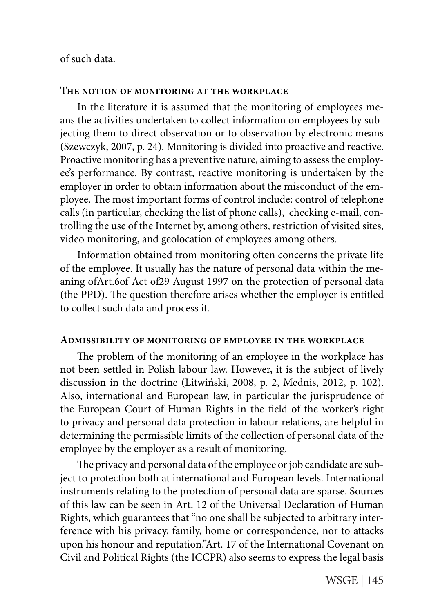of such data.

#### **The notion of monitoring at the workplace**

In the literature it is assumed that the monitoring of employees means the activities undertaken to collect information on employees by subjecting them to direct observation or to observation by electronic means (Szewczyk, 2007, p. 24). Monitoring is divided into proactive and reactive. Proactive monitoring has a preventive nature, aiming to assess the employee's performance. By contrast, reactive monitoring is undertaken by the employer in order to obtain information about the misconduct of the employee. The most important forms of control include: control of telephone calls (in particular, checking the list of phone calls), checking e-mail, controlling the use of the Internet by, among others, restriction of visited sites, video monitoring, and geolocation of employees among others.

Information obtained from monitoring often concerns the private life of the employee. It usually has the nature of personal data within the meaning ofArt.6of Act of29 August 1997 on the protection of personal data (the PPD). The question therefore arises whether the employer is entitled to collect such data and process it.

#### **Admissibility of monitoring of employee in the workplace**

The problem of the monitoring of an employee in the workplace has not been settled in Polish labour law. However, it is the subject of lively discussion in the doctrine (Litwiński, 2008, p. 2, Mednis, 2012, p. 102). Also, international and European law, in particular the jurisprudence of the European Court of Human Rights in the field of the worker's right to privacy and personal data protection in labour relations, are helpful in determining the permissible limits of the collection of personal data of the employee by the employer as a result of monitoring.

The privacy and personal data of the employee or job candidate are subject to protection both at international and European levels. International instruments relating to the protection of personal data are sparse. Sources of this law can be seen in Art. 12 of the Universal Declaration of Human Rights, which guarantees that "no one shall be subjected to arbitrary interference with his privacy, family, home or correspondence, nor to attacks upon his honour and reputation."Art. 17 of the International Covenant on Civil and Political Rights (the ICCPR) also seems to express the legal basis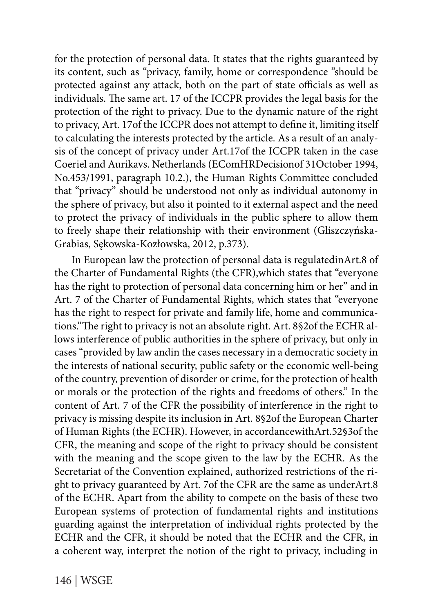for the protection of personal data. It states that the rights guaranteed by its content, such as "privacy, family, home or correspondence "should be protected against any attack, both on the part of state officials as well as individuals. The same art. 17 of the ICCPR provides the legal basis for the protection of the right to privacy. Due to the dynamic nature of the right to privacy, Art. 17of the ICCPR does not attempt to define it, limiting itself to calculating the interests protected by the article. As a result of an analysis of the concept of privacy under Art.17of the ICCPR taken in the case Coeriel and Aurikavs. Netherlands (EComHRDecisionof 31October 1994, No.453/1991, paragraph 10.2.), the Human Rights Committee concluded that "privacy" should be understood not only as individual autonomy in the sphere of privacy, but also it pointed to it external aspect and the need to protect the privacy of individuals in the public sphere to allow them to freely shape their relationship with their environment (Gliszczyńska-Grabias, Sękowska-Kozłowska, 2012, p.373).

In European law the protection of personal data is regulatedinArt.8 of the Charter of Fundamental Rights (the CFR),which states that "everyone has the right to protection of personal data concerning him or her" and in Art. 7 of the Charter of Fundamental Rights, which states that "everyone has the right to respect for private and family life, home and communications."The right to privacy is not an absolute right. Art. 8§2of the ECHR allows interference of public authorities in the sphere of privacy, but only in cases "provided by law andin the cases necessary in a democratic society in the interests of national security, public safety or the economic well-being of the country, prevention of disorder or crime, for the protection of health or morals or the protection of the rights and freedoms of others." In the content of Art. 7 of the CFR the possibility of interference in the right to privacy is missing despite its inclusion in Art. 8§2of the European Charter of Human Rights (the ECHR). However, in accordancewithArt.52§3of the CFR, the meaning and scope of the right to privacy should be consistent with the meaning and the scope given to the law by the ECHR. As the Secretariat of the Convention explained, authorized restrictions of the right to privacy guaranteed by Art. 7of the CFR are the same as underArt.8 of the ECHR. Apart from the ability to compete on the basis of these two European systems of protection of fundamental rights and institutions guarding against the interpretation of individual rights protected by the ECHR and the CFR, it should be noted that the ECHR and the CFR, in a coherent way, interpret the notion of the right to privacy, including in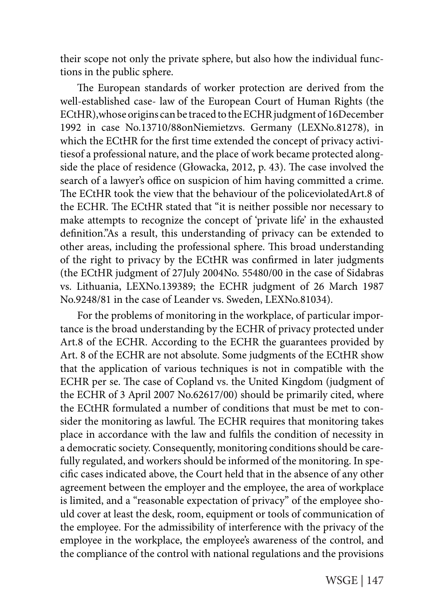their scope not only the private sphere, but also how the individual functions in the public sphere.

The European standards of worker protection are derived from the well-established case- law of the European Court of Human Rights (the ECtHR),whose origins can be traced to the ECHR judgment of 16December 1992 in case No.13710/88onNiemietzvs. Germany (LEXNo.81278), in which the ECtHR for the first time extended the concept of privacy activitiesof a professional nature, and the place of work became protected alongside the place of residence (Głowacka, 2012, p. 43). The case involved the search of a lawyer's office on suspicion of him having committed a crime. The ECtHR took the view that the behaviour of the policeviolatedArt.8 of the ECHR. The ECtHR stated that "it is neither possible nor necessary to make attempts to recognize the concept of 'private life' in the exhausted definition."As a result, this understanding of privacy can be extended to other areas, including the professional sphere. This broad understanding of the right to privacy by the ECtHR was confirmed in later judgments (the ECtHR judgment of 27July 2004No. 55480/00 in the case of Sidabras vs. Lithuania, LEXNo.139389; the ECHR judgment of 26 March 1987 No.9248/81 in the case of Leander vs. Sweden, LEXNo.81034).

For the problems of monitoring in the workplace, of particular importance is the broad understanding by the ECHR of privacy protected under Art.8 of the ECHR. According to the ECHR the guarantees provided by Art. 8 of the ECHR are not absolute. Some judgments of the ECtHR show that the application of various techniques is not in compatible with the ECHR per se. The case of Copland vs. the United Kingdom (judgment of the ECHR of 3 April 2007 No.62617/00) should be primarily cited, where the ECtHR formulated a number of conditions that must be met to consider the monitoring as lawful. The ECHR requires that monitoring takes place in accordance with the law and fulfils the condition of necessity in a democratic society. Consequently, monitoring conditions should be carefully regulated, and workers should be informed of the monitoring. In specific cases indicated above, the Court held that in the absence of any other agreement between the employer and the employee, the area of workplace is limited, and a "reasonable expectation of privacy" of the employee should cover at least the desk, room, equipment or tools of communication of the employee. For the admissibility of interference with the privacy of the employee in the workplace, the employee's awareness of the control, and the compliance of the control with national regulations and the provisions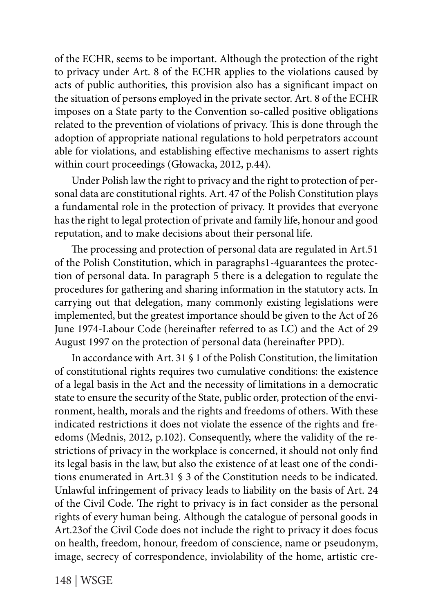of the ECHR, seems to be important. Although the protection of the right to privacy under Art. 8 of the ECHR applies to the violations caused by acts of public authorities, this provision also has a significant impact on the situation of persons employed in the private sector. Art. 8 of the ECHR imposes on a State party to the Convention so-called positive obligations related to the prevention of violations of privacy. This is done through the adoption of appropriate national regulations to hold perpetrators account able for violations, and establishing effective mechanisms to assert rights within court proceedings (Głowacka, 2012, p.44).

Under Polish law the right to privacy and the right to protection of personal data are constitutional rights. Art. 47 of the Polish Constitution plays a fundamental role in the protection of privacy. It provides that everyone has the right to legal protection of private and family life, honour and good reputation, and to make decisions about their personal life.

The processing and protection of personal data are regulated in Art.51 of the Polish Constitution, which in paragraphs1-4guarantees the protection of personal data. In paragraph 5 there is a delegation to regulate the procedures for gathering and sharing information in the statutory acts. In carrying out that delegation, many commonly existing legislations were implemented, but the greatest importance should be given to the Act of 26 June 1974-Labour Code (hereinafter referred to as LC) and the Act of 29 August 1997 on the protection of personal data (hereinafter PPD).

In accordance with Art. 31 § 1 of the Polish Constitution, the limitation of constitutional rights requires two cumulative conditions: the existence of a legal basis in the Act and the necessity of limitations in a democratic state to ensure the security of the State, public order, protection of the environment, health, morals and the rights and freedoms of others. With these indicated restrictions it does not violate the essence of the rights and freedoms (Mednis, 2012, p.102). Consequently, where the validity of the restrictions of privacy in the workplace is concerned, it should not only find its legal basis in the law, but also the existence of at least one of the conditions enumerated in Art.31 § 3 of the Constitution needs to be indicated. Unlawful infringement of privacy leads to liability on the basis of Art. 24 of the Civil Code. The right to privacy is in fact consider as the personal rights of every human being. Although the catalogue of personal goods in Art.23of the Civil Code does not include the right to privacy it does focus on health, freedom, honour, freedom of conscience, name or pseudonym, image, secrecy of correspondence, inviolability of the home, artistic cre-

148 | WSGE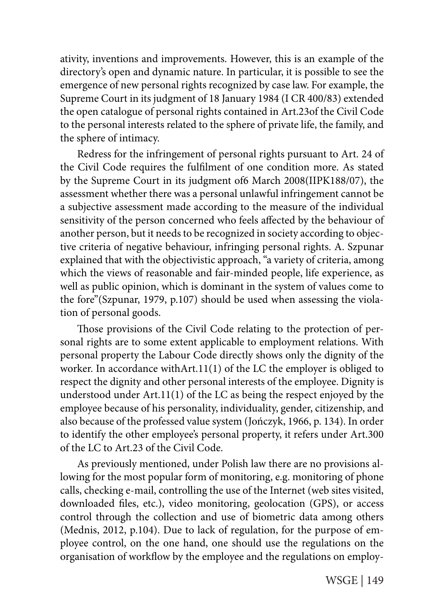ativity, inventions and improvements. However, this is an example of the directory's open and dynamic nature. In particular, it is possible to see the emergence of new personal rights recognized by case law. For example, the Supreme Court in its judgment of 18 January 1984 (I CR 400/83) extended the open catalogue of personal rights contained in Art.23of the Civil Code to the personal interests related to the sphere of private life, the family, and the sphere of intimacy.

Redress for the infringement of personal rights pursuant to Art. 24 of the Civil Code requires the fulfilment of one condition more. As stated by the Supreme Court in its judgment of6 March 2008(IIPK188/07), the assessment whether there was a personal unlawful infringement cannot be a subjective assessment made according to the measure of the individual sensitivity of the person concerned who feels affected by the behaviour of another person, but it needs to be recognized in society according to objective criteria of negative behaviour, infringing personal rights. A. Szpunar explained that with the objectivistic approach, "a variety of criteria, among which the views of reasonable and fair-minded people, life experience, as well as public opinion, which is dominant in the system of values come to the fore"(Szpunar, 1979, p.107) should be used when assessing the violation of personal goods.

Those provisions of the Civil Code relating to the protection of personal rights are to some extent applicable to employment relations. With personal property the Labour Code directly shows only the dignity of the worker. In accordance withArt.11(1) of the LC the employer is obliged to respect the dignity and other personal interests of the employee. Dignity is understood under Art.11(1) of the LC as being the respect enjoyed by the employee because of his personality, individuality, gender, citizenship, and also because of the professed value system (Jończyk, 1966, p. 134). In order to identify the other employee's personal property, it refers under Art.300 of the LC to Art.23 of the Civil Code.

As previously mentioned, under Polish law there are no provisions allowing for the most popular form of monitoring, e.g. monitoring of phone calls, checking e-mail, controlling the use of the Internet (web sites visited, downloaded files, etc.), video monitoring, geolocation (GPS), or access control through the collection and use of biometric data among others (Mednis, 2012, p.104). Due to lack of regulation, for the purpose of employee control, on the one hand, one should use the regulations on the organisation of workflow by the employee and the regulations on employ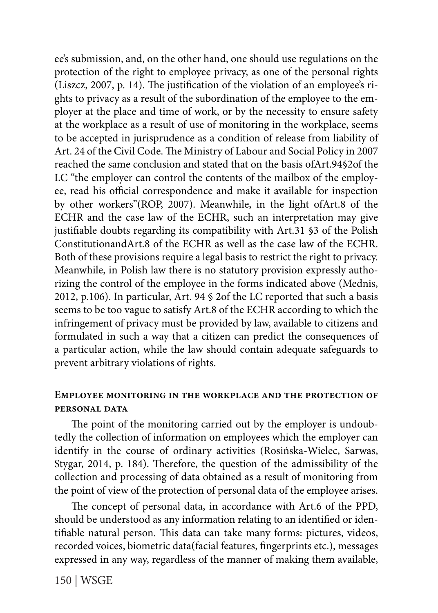ee's submission, and, on the other hand, one should use regulations on the protection of the right to employee privacy, as one of the personal rights (Liszcz, 2007, p. 14). The justification of the violation of an employee's rights to privacy as a result of the subordination of the employee to the employer at the place and time of work, or by the necessity to ensure safety at the workplace as a result of use of monitoring in the workplace, seems to be accepted in jurisprudence as a condition of release from liability of Art. 24 of the Civil Code. The Ministry of Labour and Social Policy in 2007 reached the same conclusion and stated that on the basis ofArt.94§2of the LC "the employer can control the contents of the mailbox of the employee, read his official correspondence and make it available for inspection by other workers"(ROP, 2007). Meanwhile, in the light ofArt.8 of the ECHR and the case law of the ECHR, such an interpretation may give justifiable doubts regarding its compatibility with Art.31 §3 of the Polish ConstitutionandArt.8 of the ECHR as well as the case law of the ECHR. Both of these provisions require a legal basis to restrict the right to privacy. Meanwhile, in Polish law there is no statutory provision expressly authorizing the control of the employee in the forms indicated above (Mednis, 2012, p.106). In particular, Art. 94 § 2of the LC reported that such a basis seems to be too vague to satisfy Art.8 of the ECHR according to which the infringement of privacy must be provided by law, available to citizens and formulated in such a way that a citizen can predict the consequences of a particular action, while the law should contain adequate safeguards to prevent arbitrary violations of rights.

## **Employee monitoring in the workplace and the protection of personal data**

The point of the monitoring carried out by the employer is undoubtedly the collection of information on employees which the employer can identify in the course of ordinary activities (Rosińska-Wielec, Sarwas, Stygar, 2014, p. 184). Therefore, the question of the admissibility of the collection and processing of data obtained as a result of monitoring from the point of view of the protection of personal data of the employee arises.

The concept of personal data, in accordance with Art.6 of the PPD, should be understood as any information relating to an identified or identifiable natural person. This data can take many forms: pictures, videos, recorded voices, biometric data(facial features, fingerprints etc.), messages expressed in any way, regardless of the manner of making them available,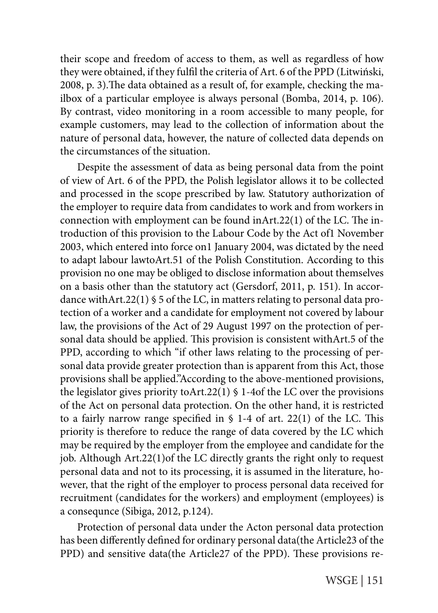their scope and freedom of access to them, as well as regardless of how they were obtained, if they fulfil the criteria of Art. 6 of the PPD (Litwiński, 2008, p. 3).The data obtained as a result of, for example, checking the mailbox of a particular employee is always personal (Bomba, 2014, p. 106). By contrast, video monitoring in a room accessible to many people, for example customers, may lead to the collection of information about the nature of personal data, however, the nature of collected data depends on the circumstances of the situation.

Despite the assessment of data as being personal data from the point of view of Art. 6 of the PPD, the Polish legislator allows it to be collected and processed in the scope prescribed by law. Statutory authorization of the employer to require data from candidates to work and from workers in connection with employment can be found inArt.22(1) of the LC. The introduction of this provision to the Labour Code by the Act of1 November 2003, which entered into force on1 January 2004, was dictated by the need to adapt labour lawtoArt.51 of the Polish Constitution. According to this provision no one may be obliged to disclose information about themselves on a basis other than the statutory act (Gersdorf, 2011, p. 151). In accordance withArt.22(1) § 5 of the LC, in matters relating to personal data protection of a worker and a candidate for employment not covered by labour law, the provisions of the Act of 29 August 1997 on the protection of personal data should be applied. This provision is consistent withArt.5 of the PPD, according to which "if other laws relating to the processing of personal data provide greater protection than is apparent from this Act, those provisions shall be applied."According to the above-mentioned provisions, the legislator gives priority to $Art.22(1)$  § 1-4of the LC over the provisions of the Act on personal data protection. On the other hand, it is restricted to a fairly narrow range specified in  $\S$  1-4 of art. 22(1) of the LC. This priority is therefore to reduce the range of data covered by the LC which may be required by the employer from the employee and candidate for the job. Although Art.22(1)of the LC directly grants the right only to request personal data and not to its processing, it is assumed in the literature, however, that the right of the employer to process personal data received for recruitment (candidates for the workers) and employment (employees) is a consequnce (Sibiga, 2012, p.124).

Protection of personal data under the Acton personal data protection has been differently defined for ordinary personal data(the Article23 of the PPD) and sensitive data(the Article27 of the PPD). These provisions re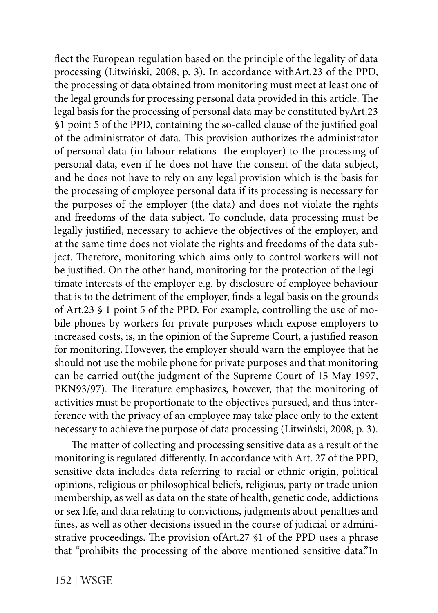flect the European regulation based on the principle of the legality of data processing (Litwiński, 2008, p. 3). In accordance withArt.23 of the PPD, the processing of data obtained from monitoring must meet at least one of the legal grounds for processing personal data provided in this article. The legal basis for the processing of personal data may be constituted byArt.23 §1 point 5 of the PPD, containing the so-called clause of the justified goal of the administrator of data. This provision authorizes the administrator of personal data (in labour relations -the employer) to the processing of personal data, even if he does not have the consent of the data subject, and he does not have to rely on any legal provision which is the basis for the processing of employee personal data if its processing is necessary for the purposes of the employer (the data) and does not violate the rights and freedoms of the data subject. To conclude, data processing must be legally justified, necessary to achieve the objectives of the employer, and at the same time does not violate the rights and freedoms of the data subject. Therefore, monitoring which aims only to control workers will not be justified. On the other hand, monitoring for the protection of the legitimate interests of the employer e.g. by disclosure of employee behaviour that is to the detriment of the employer, finds a legal basis on the grounds of Art.23 § 1 point 5 of the PPD. For example, controlling the use of mobile phones by workers for private purposes which expose employers to increased costs, is, in the opinion of the Supreme Court, a justified reason for monitoring. However, the employer should warn the employee that he should not use the mobile phone for private purposes and that monitoring can be carried out(the judgment of the Supreme Court of 15 May 1997, PKN93/97). The literature emphasizes, however, that the monitoring of activities must be proportionate to the objectives pursued, and thus interference with the privacy of an employee may take place only to the extent necessary to achieve the purpose of data processing (Litwiński, 2008, p. 3).

The matter of collecting and processing sensitive data as a result of the monitoring is regulated differently. In accordance with Art. 27 of the PPD, sensitive data includes data referring to racial or ethnic origin, political opinions, religious or philosophical beliefs, religious, party or trade union membership, as well as data on the state of health, genetic code, addictions or sex life, and data relating to convictions, judgments about penalties and fines, as well as other decisions issued in the course of judicial or administrative proceedings. The provision ofArt.27 §1 of the PPD uses a phrase that "prohibits the processing of the above mentioned sensitive data."In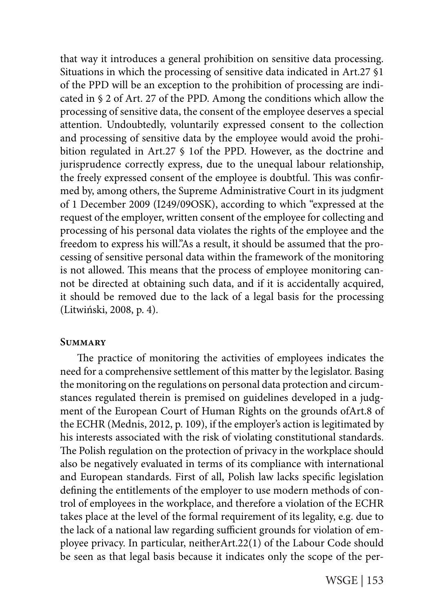that way it introduces a general prohibition on sensitive data processing. Situations in which the processing of sensitive data indicated in Art.27 §1 of the PPD will be an exception to the prohibition of processing are indicated in § 2 of Art. 27 of the PPD. Among the conditions which allow the processing of sensitive data, the consent of the employee deserves a special attention. Undoubtedly, voluntarily expressed consent to the collection and processing of sensitive data by the employee would avoid the prohibition regulated in Art.27 § 1of the PPD. However, as the doctrine and jurisprudence correctly express, due to the unequal labour relationship, the freely expressed consent of the employee is doubtful. This was confirmed by, among others, the Supreme Administrative Court in its judgment of 1 December 2009 (I249/09OSK), according to which "expressed at the request of the employer, written consent of the employee for collecting and processing of his personal data violates the rights of the employee and the freedom to express his will."As a result, it should be assumed that the processing of sensitive personal data within the framework of the monitoring is not allowed. This means that the process of employee monitoring cannot be directed at obtaining such data, and if it is accidentally acquired, it should be removed due to the lack of a legal basis for the processing (Litwiński, 2008, p. 4).

#### **Summary**

The practice of monitoring the activities of employees indicates the need for a comprehensive settlement of this matter by the legislator. Basing the monitoring on the regulations on personal data protection and circumstances regulated therein is premised on guidelines developed in a judgment of the European Court of Human Rights on the grounds ofArt.8 of the ECHR (Mednis, 2012, p. 109), if the employer's action is legitimated by his interests associated with the risk of violating constitutional standards. The Polish regulation on the protection of privacy in the workplace should also be negatively evaluated in terms of its compliance with international and European standards. First of all, Polish law lacks specific legislation defining the entitlements of the employer to use modern methods of control of employees in the workplace, and therefore a violation of the ECHR takes place at the level of the formal requirement of its legality, e.g. due to the lack of a national law regarding sufficient grounds for violation of employee privacy. In particular, neitherArt.22(1) of the Labour Code should be seen as that legal basis because it indicates only the scope of the per-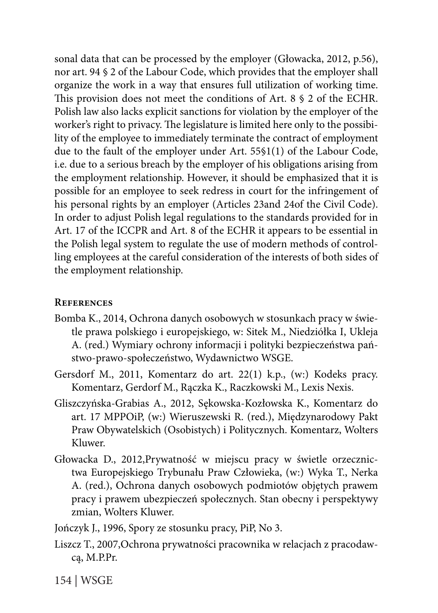sonal data that can be processed by the employer (Głowacka, 2012, p.56), nor art. 94 § 2 of the Labour Code, which provides that the employer shall organize the work in a way that ensures full utilization of working time. This provision does not meet the conditions of Art. 8 § 2 of the ECHR. Polish law also lacks explicit sanctions for violation by the employer of the worker's right to privacy. The legislature is limited here only to the possibility of the employee to immediately terminate the contract of employment due to the fault of the employer under Art. 55§1(1) of the Labour Code, i.e. due to a serious breach by the employer of his obligations arising from the employment relationship. However, it should be emphasized that it is possible for an employee to seek redress in court for the infringement of his personal rights by an employer (Articles 23and 24of the Civil Code). In order to adjust Polish legal regulations to the standards provided for in Art. 17 of the ICCPR and Art. 8 of the ECHR it appears to be essential in the Polish legal system to regulate the use of modern methods of controlling employees at the careful consideration of the interests of both sides of the employment relationship.

## **References**

- Bomba K., 2014, Ochrona danych osobowych w stosunkach pracy w świetle prawa polskiego i europejskiego, w: Sitek M., Niedziółka I, Ukleja A. (red.) Wymiary ochrony informacji i polityki bezpieczeństwa państwo-prawo-społeczeństwo, Wydawnictwo WSGE.
- Gersdorf M., 2011, Komentarz do art. 22(1) k.p., (w:) Kodeks pracy. Komentarz, Gerdorf M., Rączka K., Raczkowski M., Lexis Nexis.
- Gliszczyńska-Grabias A., 2012, Sękowska-Kozłowska K., Komentarz do art. 17 MPPOiP, (w:) Wieruszewski R. (red.), Międzynarodowy Pakt Praw Obywatelskich (Osobistych) i Politycznych. Komentarz, Wolters Kluwer.
- Głowacka D., 2012,Prywatność w miejscu pracy w świetle orzecznictwa Europejskiego Trybunału Praw Człowieka, (w:) Wyka T., Nerka A. (red.), Ochrona danych osobowych podmiotów objętych prawem pracy i prawem ubezpieczeń społecznych. Stan obecny i perspektywy zmian, Wolters Kluwer.
- Jończyk J., 1996, Spory ze stosunku pracy, PiP, No 3.
- Liszcz T., 2007,Ochrona prywatności pracownika w relacjach z pracodawcą, M.P.Pr.

154 | WSGE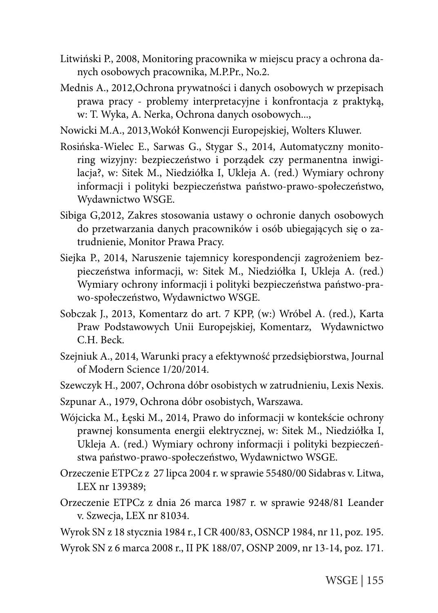- Litwiński P., 2008, Monitoring pracownika w miejscu pracy a ochrona danych osobowych pracownika, M.P.Pr., No.2.
- Mednis A., 2012,Ochrona prywatności i danych osobowych w przepisach prawa pracy - problemy interpretacyjne i konfrontacja z praktyką, w: T. Wyka, A. Nerka, Ochrona danych osobowych...,
- Nowicki M.A., 2013,Wokół Konwencji Europejskiej, Wolters Kluwer.
- Rosińska-Wielec E., Sarwas G., Stygar S., 2014, Automatyczny monitoring wizyjny: bezpieczeństwo i porządek czy permanentna inwigilacja?, w: Sitek M., Niedziółka I, Ukleja A. (red.) Wymiary ochrony informacji i polityki bezpieczeństwa państwo-prawo-społeczeństwo, Wydawnictwo WSGE.
- Sibiga G,2012, Zakres stosowania ustawy o ochronie danych osobowych do przetwarzania danych pracowników i osób ubiegających się o zatrudnienie, Monitor Prawa Pracy.
- Siejka P., 2014, Naruszenie tajemnicy korespondencji zagrożeniem bezpieczeństwa informacji, w: Sitek M., Niedziółka I, Ukleja A. (red.) Wymiary ochrony informacji i polityki bezpieczeństwa państwo-prawo-społeczeństwo, Wydawnictwo WSGE.
- Sobczak J., 2013, Komentarz do art. 7 KPP, (w:) Wróbel A. (red.), Karta Praw Podstawowych Unii Europejskiej, Komentarz, Wydawnictwo C.H. Beck.
- Szejniuk A., 2014, Warunki pracy a efektywność przedsiębiorstwa, Journal of Modern Science 1/20/2014.
- Szewczyk H., 2007, Ochrona dóbr osobistych w zatrudnieniu, Lexis Nexis.
- Szpunar A., 1979, Ochrona dóbr osobistych, Warszawa.
- Wójcicka M., Łęski M., 2014, Prawo do informacji w kontekście ochrony prawnej konsumenta energii elektrycznej, w: Sitek M., Niedziółka I, Ukleja A. (red.) Wymiary ochrony informacji i polityki bezpieczeństwa państwo-prawo-społeczeństwo, Wydawnictwo WSGE.
- Orzeczenie ETPCz z 27 lipca 2004 r. w sprawie 55480/00 Sidabras v. Litwa, LEX nr 139389;
- Orzeczenie ETPCz z dnia 26 marca 1987 r. w sprawie 9248/81 Leander v. Szwecja, LEX nr 81034.

Wyrok SN z 18 stycznia 1984 r., I CR 400/83, OSNCP 1984, nr 11, poz. 195.

Wyrok SN z 6 marca 2008 r., II PK 188/07, OSNP 2009, nr 13-14, poz. 171.